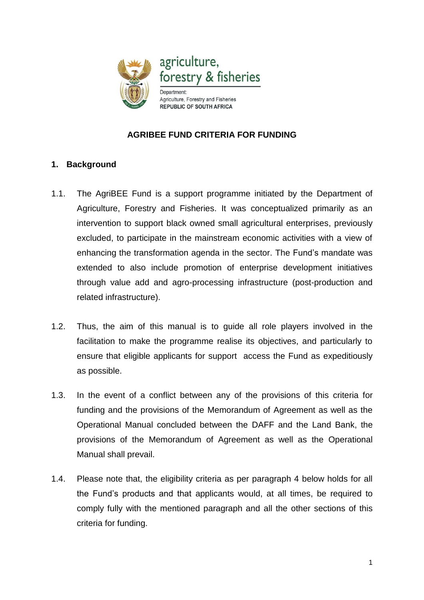

## **AGRIBEE FUND CRITERIA FOR FUNDING**

## **1. Background**

- 1.1. The AgriBEE Fund is a support programme initiated by the Department of Agriculture, Forestry and Fisheries. It was conceptualized primarily as an intervention to support black owned small agricultural enterprises, previously excluded, to participate in the mainstream economic activities with a view of enhancing the transformation agenda in the sector. The Fund's mandate was extended to also include promotion of enterprise development initiatives through value add and agro-processing infrastructure (post-production and related infrastructure).
- 1.2. Thus, the aim of this manual is to guide all role players involved in the facilitation to make the programme realise its objectives, and particularly to ensure that eligible applicants for support access the Fund as expeditiously as possible.
- 1.3. In the event of a conflict between any of the provisions of this criteria for funding and the provisions of the Memorandum of Agreement as well as the Operational Manual concluded between the DAFF and the Land Bank, the provisions of the Memorandum of Agreement as well as the Operational Manual shall prevail.
- 1.4. Please note that, the eligibility criteria as per paragraph 4 below holds for all the Fund's products and that applicants would, at all times, be required to comply fully with the mentioned paragraph and all the other sections of this criteria for funding.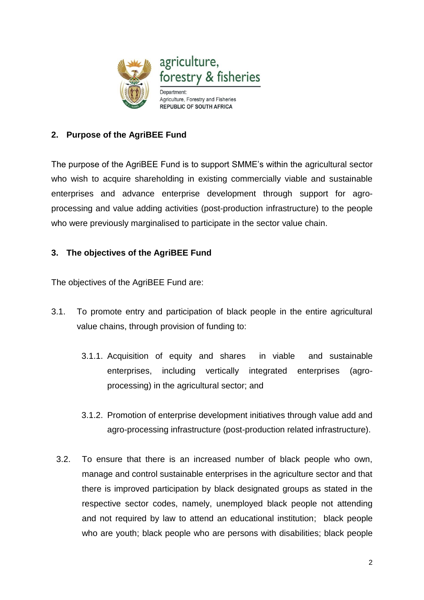

## **2. Purpose of the AgriBEE Fund**

The purpose of the AgriBEE Fund is to support SMME's within the agricultural sector who wish to acquire shareholding in existing commercially viable and sustainable enterprises and advance enterprise development through support for agroprocessing and value adding activities (post-production infrastructure) to the people who were previously marginalised to participate in the sector value chain.

## **3. The objectives of the AgriBEE Fund**

The objectives of the AgriBEE Fund are:

- 3.1. To promote entry and participation of black people in the entire agricultural value chains, through provision of funding to:
	- 3.1.1. Acquisition of equity and shares in viable and sustainable enterprises, including vertically integrated enterprises (agroprocessing) in the agricultural sector; and
	- 3.1.2. Promotion of enterprise development initiatives through value add and agro-processing infrastructure (post-production related infrastructure).
	- 3.2. To ensure that there is an increased number of black people who own, manage and control sustainable enterprises in the agriculture sector and that there is improved participation by black designated groups as stated in the respective sector codes, namely, unemployed black people not attending and not required by law to attend an educational institution; black people who are youth; black people who are persons with disabilities; black people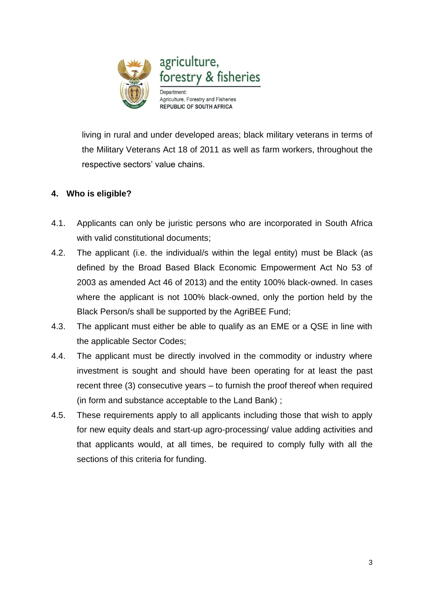

living in rural and under developed areas; black military veterans in terms of the Military Veterans Act 18 of 2011 as well as farm workers, throughout the respective sectors' value chains.

# **4. Who is eligible?**

- 4.1. Applicants can only be juristic persons who are incorporated in South Africa with valid constitutional documents:
- 4.2. The applicant (i.e. the individual/s within the legal entity) must be Black (as defined by the Broad Based Black Economic Empowerment Act No 53 of 2003 as amended Act 46 of 2013) and the entity 100% black-owned. In cases where the applicant is not 100% black-owned, only the portion held by the Black Person/s shall be supported by the AgriBEE Fund;
- 4.3. The applicant must either be able to qualify as an EME or a QSE in line with the applicable Sector Codes;
- 4.4. The applicant must be directly involved in the commodity or industry where investment is sought and should have been operating for at least the past recent three (3) consecutive years – to furnish the proof thereof when required (in form and substance acceptable to the Land Bank) ;
- 4.5. These requirements apply to all applicants including those that wish to apply for new equity deals and start-up agro-processing/ value adding activities and that applicants would, at all times, be required to comply fully with all the sections of this criteria for funding.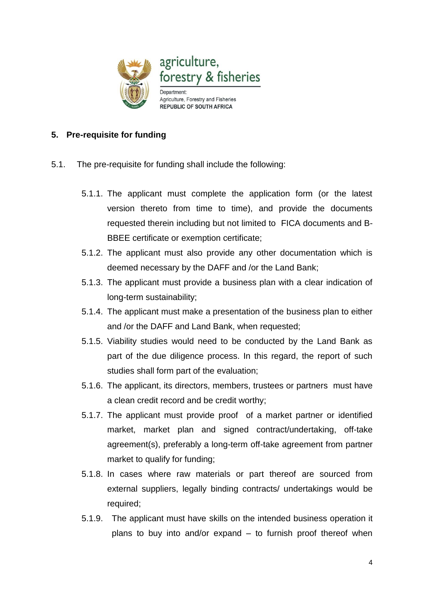

#### **5. Pre-requisite for funding**

- 5.1. The pre-requisite for funding shall include the following:
	- 5.1.1. The applicant must complete the application form (or the latest version thereto from time to time), and provide the documents requested therein including but not limited to FICA documents and B-BBEE certificate or exemption certificate;
	- 5.1.2. The applicant must also provide any other documentation which is deemed necessary by the DAFF and /or the Land Bank;
	- 5.1.3. The applicant must provide a business plan with a clear indication of long-term sustainability;
	- 5.1.4. The applicant must make a presentation of the business plan to either and /or the DAFF and Land Bank, when requested;
	- 5.1.5. Viability studies would need to be conducted by the Land Bank as part of the due diligence process. In this regard, the report of such studies shall form part of the evaluation;
	- 5.1.6. The applicant, its directors, members, trustees or partners must have a clean credit record and be credit worthy;
	- 5.1.7. The applicant must provide proof of a market partner or identified market, market plan and signed contract/undertaking, off-take agreement(s), preferably a long-term off-take agreement from partner market to qualify for funding;
	- 5.1.8. In cases where raw materials or part thereof are sourced from external suppliers, legally binding contracts/ undertakings would be required;
	- 5.1.9. The applicant must have skills on the intended business operation it plans to buy into and/or expand – to furnish proof thereof when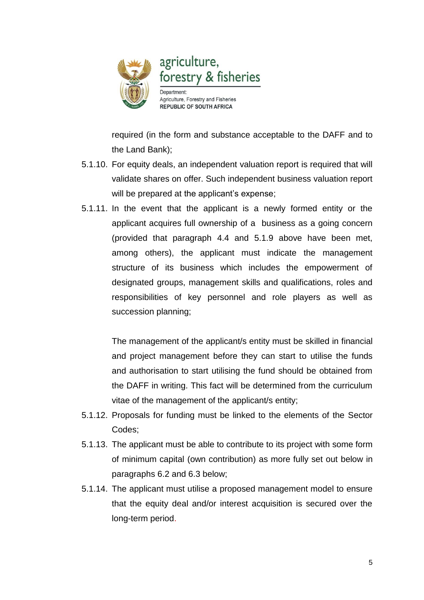

required (in the form and substance acceptable to the DAFF and to the Land Bank);

- 5.1.10. For equity deals, an independent valuation report is required that will validate shares on offer. Such independent business valuation report will be prepared at the applicant's expense;
- 5.1.11. In the event that the applicant is a newly formed entity or the applicant acquires full ownership of a business as a going concern (provided that paragraph 4.4 and 5.1.9 above have been met, among others), the applicant must indicate the management structure of its business which includes the empowerment of designated groups, management skills and qualifications, roles and responsibilities of key personnel and role players as well as succession planning;

The management of the applicant/s entity must be skilled in financial and project management before they can start to utilise the funds and authorisation to start utilising the fund should be obtained from the DAFF in writing. This fact will be determined from the curriculum vitae of the management of the applicant/s entity;

- 5.1.12. Proposals for funding must be linked to the elements of the Sector Codes;
- 5.1.13. The applicant must be able to contribute to its project with some form of minimum capital (own contribution) as more fully set out below in paragraphs 6.2 and 6.3 below;
- 5.1.14. The applicant must utilise a proposed management model to ensure that the equity deal and/or interest acquisition is secured over the long-term period.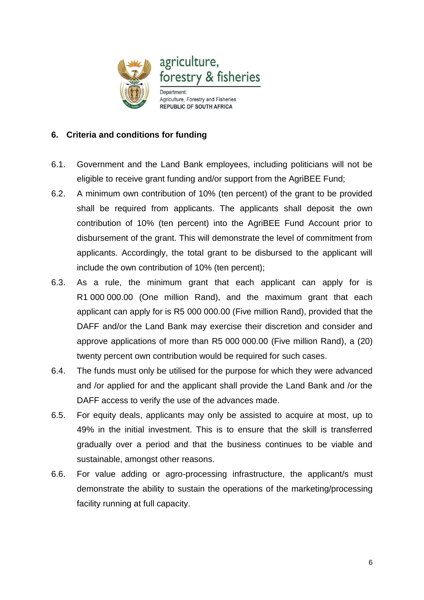

#### **6. Criteria and conditions for funding**

- 6.1. Government and the Land Bank employees, including politicians will not be eligible to receive grant funding and/or support from the AgriBEE Fund;
- 6.2. A minimum own contribution of 10% (ten percent) of the grant to be provided shall be required from applicants. The applicants shall deposit the own contribution of 10% (ten percent) into the AgriBEE Fund Account prior to disbursement of the grant. This will demonstrate the level of commitment from applicants. Accordingly, the total grant to be disbursed to the applicant will include the own contribution of 10% (ten percent);
- 6.3. As a rule, the minimum grant that each applicant can apply for is R1 000 000.00 (One million Rand), and the maximum grant that each applicant can apply for is R5 000 000.00 (Five million Rand), provided that the DAFF and/or the Land Bank may exercise their discretion and consider and approve applications of more than R5 000 000.00 (Five million Rand), a (20) twenty percent own contribution would be required for such cases.
- 6.4. The funds must only be utilised for the purpose for which they were advanced and /or applied for and the applicant shall provide the Land Bank and /or the DAFF access to verify the use of the advances made.
- 6.5. For equity deals, applicants may only be assisted to acquire at most, up to 49% in the initial investment. This is to ensure that the skill is transferred gradually over a period and that the business continues to be viable and sustainable, amongst other reasons.
- 6.6. For value adding or agro-processing infrastructure, the applicant/s must demonstrate the ability to sustain the operations of the marketing/processing facility running at full capacity.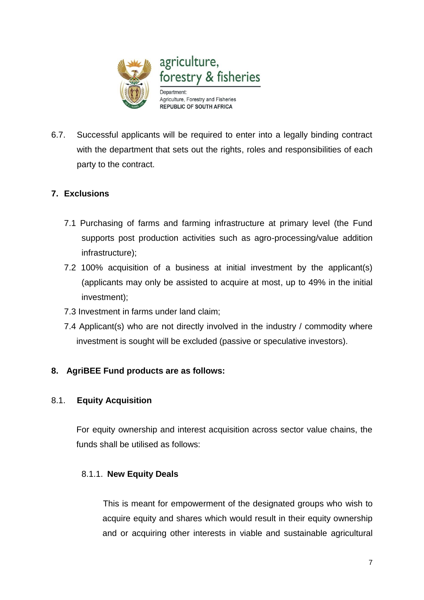

6.7. Successful applicants will be required to enter into a legally binding contract with the department that sets out the rights, roles and responsibilities of each party to the contract.

## **7. Exclusions**

- 7.1 Purchasing of farms and farming infrastructure at primary level (the Fund supports post production activities such as agro-processing/value addition infrastructure);
- 7.2 100% acquisition of a business at initial investment by the applicant(s) (applicants may only be assisted to acquire at most, up to 49% in the initial investment);
- 7.3 Investment in farms under land claim;
- 7.4 Applicant(s) who are not directly involved in the industry / commodity where investment is sought will be excluded (passive or speculative investors).

# **8. AgriBEE Fund products are as follows:**

#### 8.1. **Equity Acquisition**

For equity ownership and interest acquisition across sector value chains, the funds shall be utilised as follows:

#### 8.1.1. **New Equity Deals**

 This is meant for empowerment of the designated groups who wish to acquire equity and shares which would result in their equity ownership and or acquiring other interests in viable and sustainable agricultural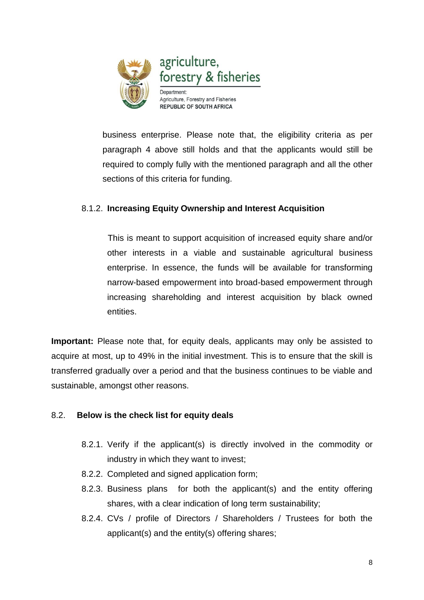

business enterprise. Please note that, the eligibility criteria as per paragraph 4 above still holds and that the applicants would still be required to comply fully with the mentioned paragraph and all the other sections of this criteria for funding.

## 8.1.2. **Increasing Equity Ownership and Interest Acquisition**

 This is meant to support acquisition of increased equity share and/or other interests in a viable and sustainable agricultural business enterprise. In essence, the funds will be available for transforming narrow-based empowerment into broad-based empowerment through increasing shareholding and interest acquisition by black owned entities.

**Important:** Please note that, for equity deals, applicants may only be assisted to acquire at most, up to 49% in the initial investment. This is to ensure that the skill is transferred gradually over a period and that the business continues to be viable and sustainable, amongst other reasons.

#### 8.2. **Below is the check list for equity deals**

- 8.2.1. Verify if the applicant(s) is directly involved in the commodity or industry in which they want to invest;
- 8.2.2. Completed and signed application form;
- 8.2.3. Business plans for both the applicant(s) and the entity offering shares, with a clear indication of long term sustainability;
- 8.2.4. CVs / profile of Directors / Shareholders / Trustees for both the applicant(s) and the entity(s) offering shares;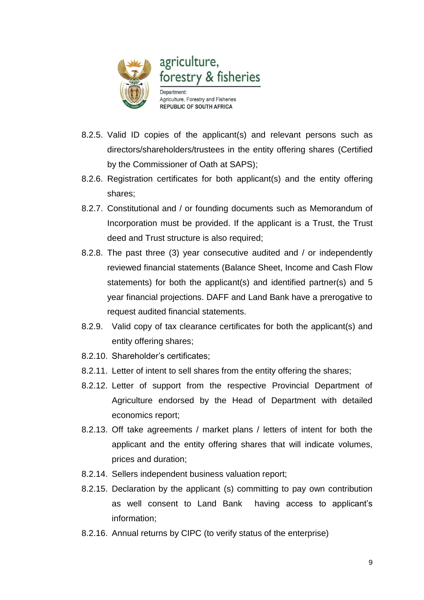

- 8.2.5. Valid ID copies of the applicant(s) and relevant persons such as directors/shareholders/trustees in the entity offering shares (Certified by the Commissioner of Oath at SAPS);
- 8.2.6. Registration certificates for both applicant(s) and the entity offering shares;
- 8.2.7. Constitutional and / or founding documents such as Memorandum of Incorporation must be provided. If the applicant is a Trust, the Trust deed and Trust structure is also required;
- 8.2.8. The past three (3) year consecutive audited and / or independently reviewed financial statements (Balance Sheet, Income and Cash Flow statements) for both the applicant(s) and identified partner(s) and 5 year financial projections. DAFF and Land Bank have a prerogative to request audited financial statements.
- 8.2.9. Valid copy of tax clearance certificates for both the applicant(s) and entity offering shares;
- 8.2.10. Shareholder's certificates;
- 8.2.11. Letter of intent to sell shares from the entity offering the shares;
- 8.2.12. Letter of support from the respective Provincial Department of Agriculture endorsed by the Head of Department with detailed economics report;
- 8.2.13. Off take agreements / market plans / letters of intent for both the applicant and the entity offering shares that will indicate volumes, prices and duration;
- 8.2.14. Sellers independent business valuation report;
- 8.2.15. Declaration by the applicant (s) committing to pay own contribution as well consent to Land Bank having access to applicant's information;
- 8.2.16. Annual returns by CIPC (to verify status of the enterprise)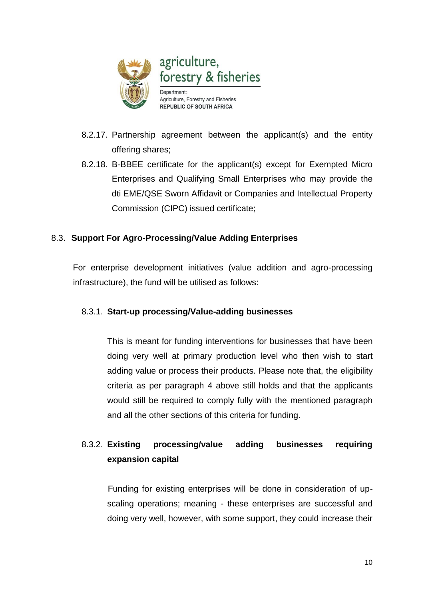

- 8.2.17. Partnership agreement between the applicant(s) and the entity offering shares;
- 8.2.18. B-BBEE certificate for the applicant(s) except for Exempted Micro Enterprises and Qualifying Small Enterprises who may provide the dti EME/QSE Sworn Affidavit or Companies and Intellectual Property Commission (CIPC) issued certificate;

#### 8.3. **Support For Agro-Processing/Value Adding Enterprises**

 For enterprise development initiatives (value addition and agro-processing infrastructure), the fund will be utilised as follows:

#### 8.3.1. **Start-up processing/Value-adding businesses**

This is meant for funding interventions for businesses that have been doing very well at primary production level who then wish to start adding value or process their products. Please note that, the eligibility criteria as per paragraph 4 above still holds and that the applicants would still be required to comply fully with the mentioned paragraph and all the other sections of this criteria for funding.

# 8.3.2. **Existing processing/value adding businesses requiring expansion capital**

 Funding for existing enterprises will be done in consideration of upscaling operations; meaning - these enterprises are successful and doing very well, however, with some support, they could increase their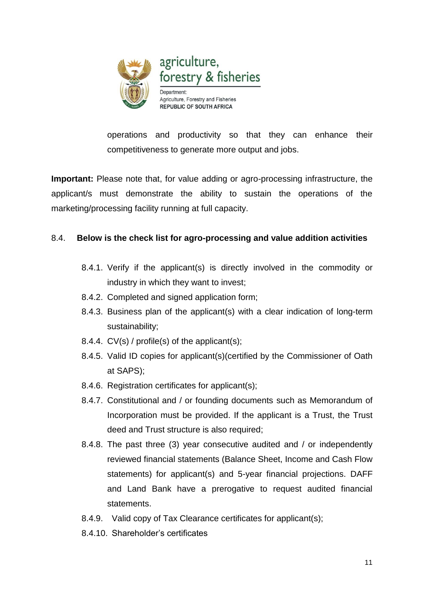

operations and productivity so that they can enhance their competitiveness to generate more output and jobs.

**Important:** Please note that, for value adding or agro-processing infrastructure, the applicant/s must demonstrate the ability to sustain the operations of the marketing/processing facility running at full capacity.

#### 8.4. **Below is the check list for agro-processing and value addition activities**

- 8.4.1. Verify if the applicant(s) is directly involved in the commodity or industry in which they want to invest;
- 8.4.2. Completed and signed application form;
- 8.4.3. Business plan of the applicant(s) with a clear indication of long-term sustainability;
- 8.4.4. CV(s) / profile(s) of the applicant(s);
- 8.4.5. Valid ID copies for applicant(s)(certified by the Commissioner of Oath at SAPS);
- 8.4.6. Registration certificates for applicant(s);
- 8.4.7. Constitutional and / or founding documents such as Memorandum of Incorporation must be provided. If the applicant is a Trust, the Trust deed and Trust structure is also required;
- 8.4.8. The past three (3) year consecutive audited and / or independently reviewed financial statements (Balance Sheet, Income and Cash Flow statements) for applicant(s) and 5-year financial projections. DAFF and Land Bank have a prerogative to request audited financial statements.
- 8.4.9. Valid copy of Tax Clearance certificates for applicant(s);
- 8.4.10. Shareholder's certificates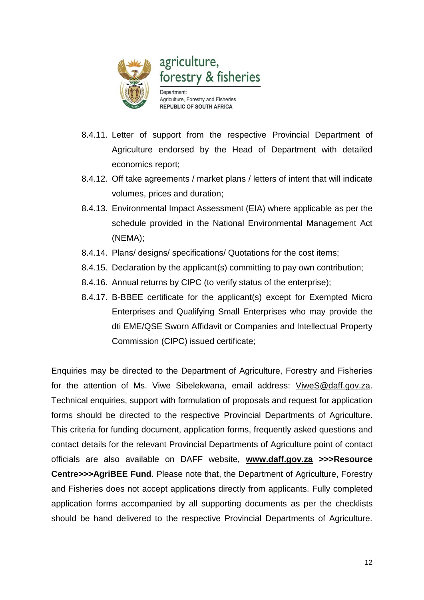

- 8.4.11. Letter of support from the respective Provincial Department of Agriculture endorsed by the Head of Department with detailed economics report;
- 8.4.12. Off take agreements / market plans / letters of intent that will indicate volumes, prices and duration;
- 8.4.13. Environmental Impact Assessment (EIA) where applicable as per the schedule provided in the National Environmental Management Act (NEMA);
- 8.4.14. Plans/ designs/ specifications/ Quotations for the cost items;
- 8.4.15. Declaration by the applicant(s) committing to pay own contribution;
- 8.4.16. Annual returns by CIPC (to verify status of the enterprise);
- 8.4.17. B-BBEE certificate for the applicant(s) except for Exempted Micro Enterprises and Qualifying Small Enterprises who may provide the dti EME/QSE Sworn Affidavit or Companies and Intellectual Property Commission (CIPC) issued certificate;

Enquiries may be directed to the Department of Agriculture, Forestry and Fisheries for the attention of Ms. Viwe Sibelekwana, email address: [ViweS@daff.gov.za.](mailto:ViweS@daff.gov.za) Technical enquiries, support with formulation of proposals and request for application forms should be directed to the respective Provincial Departments of Agriculture. This criteria for funding document, application forms, frequently asked questions and contact details for the relevant Provincial Departments of Agriculture point of contact officials are also available on DAFF website, **[www.daff.gov.za](http://www.daff.gov.za/) >>>Resource Centre>>>AgriBEE Fund**. Please note that, the Department of Agriculture, Forestry and Fisheries does not accept applications directly from applicants. Fully completed application forms accompanied by all supporting documents as per the checklists should be hand delivered to the respective Provincial Departments of Agriculture.